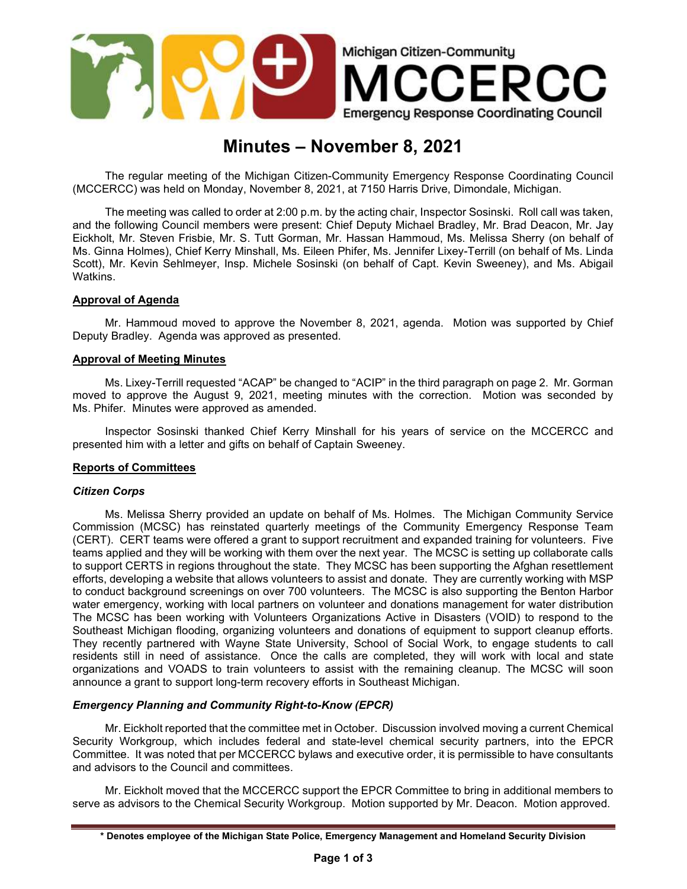

# Minutes – November 8, 2021

The regular meeting of the Michigan Citizen-Community Emergency Response Coordinating Council (MCCERCC) was held on Monday, November 8, 2021, at 7150 Harris Drive, Dimondale, Michigan.

The meeting was called to order at 2:00 p.m. by the acting chair, Inspector Sosinski. Roll call was taken, and the following Council members were present: Chief Deputy Michael Bradley, Mr. Brad Deacon, Mr. Jay Eickholt, Mr. Steven Frisbie, Mr. S. Tutt Gorman, Mr. Hassan Hammoud, Ms. Melissa Sherry (on behalf of Ms. Ginna Holmes), Chief Kerry Minshall, Ms. Eileen Phifer, Ms. Jennifer Lixey-Terrill (on behalf of Ms. Linda Scott), Mr. Kevin Sehlmeyer, Insp. Michele Sosinski (on behalf of Capt. Kevin Sweeney), and Ms. Abigail Watkins.

# Approval of Agenda

Mr. Hammoud moved to approve the November 8, 2021, agenda. Motion was supported by Chief Deputy Bradley. Agenda was approved as presented.

## Approval of Meeting Minutes

Ms. Lixey-Terrill requested "ACAP" be changed to "ACIP" in the third paragraph on page 2. Mr. Gorman moved to approve the August 9, 2021, meeting minutes with the correction. Motion was seconded by Ms. Phifer. Minutes were approved as amended.

Inspector Sosinski thanked Chief Kerry Minshall for his years of service on the MCCERCC and presented him with a letter and gifts on behalf of Captain Sweeney.

## Reports of Committees

## Citizen Corps

Ms. Melissa Sherry provided an update on behalf of Ms. Holmes. The Michigan Community Service Commission (MCSC) has reinstated quarterly meetings of the Community Emergency Response Team (CERT). CERT teams were offered a grant to support recruitment and expanded training for volunteers. Five teams applied and they will be working with them over the next year. The MCSC is setting up collaborate calls to support CERTS in regions throughout the state. They MCSC has been supporting the Afghan resettlement efforts, developing a website that allows volunteers to assist and donate. They are currently working with MSP to conduct background screenings on over 700 volunteers. The MCSC is also supporting the Benton Harbor water emergency, working with local partners on volunteer and donations management for water distribution The MCSC has been working with Volunteers Organizations Active in Disasters (VOID) to respond to the Southeast Michigan flooding, organizing volunteers and donations of equipment to support cleanup efforts. They recently partnered with Wayne State University, School of Social Work, to engage students to call residents still in need of assistance. Once the calls are completed, they will work with local and state organizations and VOADS to train volunteers to assist with the remaining cleanup. The MCSC will soon announce a grant to support long-term recovery efforts in Southeast Michigan.

## Emergency Planning and Community Right-to-Know (EPCR)

Mr. Eickholt reported that the committee met in October. Discussion involved moving a current Chemical Security Workgroup, which includes federal and state-level chemical security partners, into the EPCR Committee. It was noted that per MCCERCC bylaws and executive order, it is permissible to have consultants and advisors to the Council and committees.

Mr. Eickholt moved that the MCCERCC support the EPCR Committee to bring in additional members to serve as advisors to the Chemical Security Workgroup. Motion supported by Mr. Deacon. Motion approved.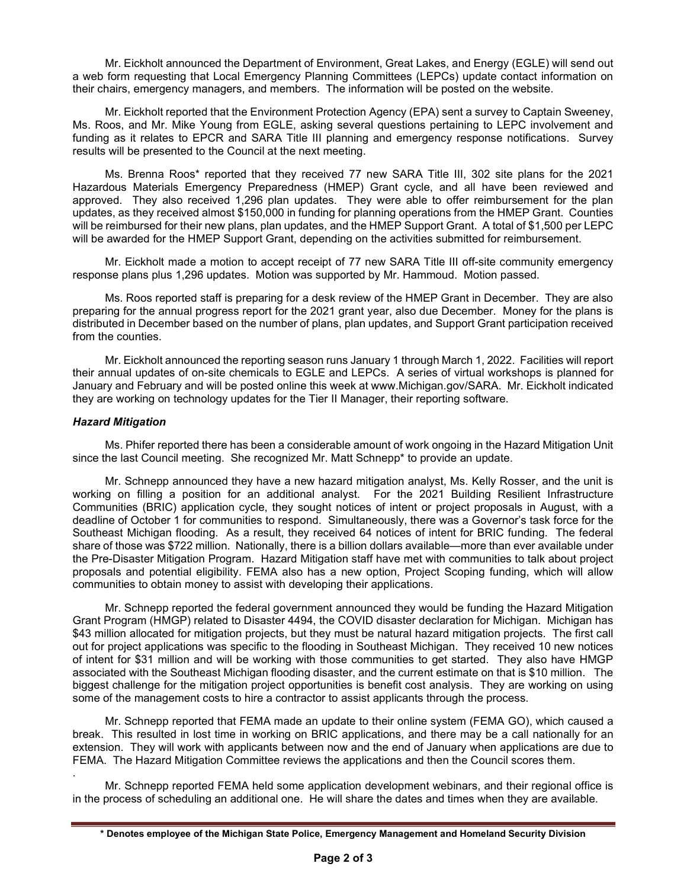Mr. Eickholt announced the Department of Environment, Great Lakes, and Energy (EGLE) will send out a web form requesting that Local Emergency Planning Committees (LEPCs) update contact information on their chairs, emergency managers, and members. The information will be posted on the website.

 Mr. Eickholt reported that the Environment Protection Agency (EPA) sent a survey to Captain Sweeney, Ms. Roos, and Mr. Mike Young from EGLE, asking several questions pertaining to LEPC involvement and funding as it relates to EPCR and SARA Title III planning and emergency response notifications. Survey results will be presented to the Council at the next meeting.

 Ms. Brenna Roos\* reported that they received 77 new SARA Title III, 302 site plans for the 2021 Hazardous Materials Emergency Preparedness (HMEP) Grant cycle, and all have been reviewed and approved. They also received 1,296 plan updates. They were able to offer reimbursement for the plan updates, as they received almost \$150,000 in funding for planning operations from the HMEP Grant. Counties will be reimbursed for their new plans, plan updates, and the HMEP Support Grant. A total of \$1,500 per LEPC will be awarded for the HMEP Support Grant, depending on the activities submitted for reimbursement.

 Mr. Eickholt made a motion to accept receipt of 77 new SARA Title III off-site community emergency response plans plus 1,296 updates. Motion was supported by Mr. Hammoud. Motion passed.

 Ms. Roos reported staff is preparing for a desk review of the HMEP Grant in December. They are also preparing for the annual progress report for the 2021 grant year, also due December. Money for the plans is distributed in December based on the number of plans, plan updates, and Support Grant participation received from the counties.

 Mr. Eickholt announced the reporting season runs January 1 through March 1, 2022. Facilities will report their annual updates of on-site chemicals to EGLE and LEPCs. A series of virtual workshops is planned for January and February and will be posted online this week at www.Michigan.gov/SARA. Mr. Eickholt indicated they are working on technology updates for the Tier II Manager, their reporting software.

# Hazard Mitigation

Ms. Phifer reported there has been a considerable amount of work ongoing in the Hazard Mitigation Unit since the last Council meeting. She recognized Mr. Matt Schnepp\* to provide an update.

 Mr. Schnepp announced they have a new hazard mitigation analyst, Ms. Kelly Rosser, and the unit is working on filling a position for an additional analyst. For the 2021 Building Resilient Infrastructure Communities (BRIC) application cycle, they sought notices of intent or project proposals in August, with a deadline of October 1 for communities to respond. Simultaneously, there was a Governor's task force for the Southeast Michigan flooding. As a result, they received 64 notices of intent for BRIC funding. The federal share of those was \$722 million. Nationally, there is a billion dollars available—more than ever available under the Pre-Disaster Mitigation Program. Hazard Mitigation staff have met with communities to talk about project proposals and potential eligibility. FEMA also has a new option, Project Scoping funding, which will allow communities to obtain money to assist with developing their applications.

 Mr. Schnepp reported the federal government announced they would be funding the Hazard Mitigation Grant Program (HMGP) related to Disaster 4494, the COVID disaster declaration for Michigan. Michigan has \$43 million allocated for mitigation projects, but they must be natural hazard mitigation projects. The first call out for project applications was specific to the flooding in Southeast Michigan. They received 10 new notices of intent for \$31 million and will be working with those communities to get started. They also have HMGP associated with the Southeast Michigan flooding disaster, and the current estimate on that is \$10 million. The biggest challenge for the mitigation project opportunities is benefit cost analysis. They are working on using some of the management costs to hire a contractor to assist applicants through the process.

 Mr. Schnepp reported that FEMA made an update to their online system (FEMA GO), which caused a break. This resulted in lost time in working on BRIC applications, and there may be a call nationally for an extension. They will work with applicants between now and the end of January when applications are due to FEMA. The Hazard Mitigation Committee reviews the applications and then the Council scores them.

. Mr. Schnepp reported FEMA held some application development webinars, and their regional office is in the process of scheduling an additional one. He will share the dates and times when they are available.